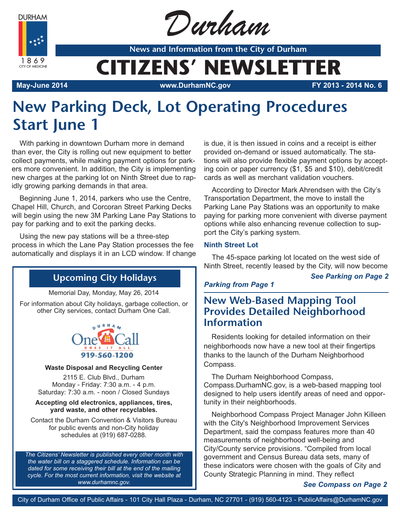**DURHAM** 



Durham

**News and Information from the City of Durham**

# **CITIZENS' NEWSLETTER**

**May-June 2014 www.DurhamNC.gov FY 2013 - 2014 No. 6**

# **New Parking Deck, Lot Operating Procedures Start June 1**

With parking in downtown Durham more in demand than ever, the City is rolling out new equipment to better collect payments, while making payment options for parkers more convenient. In addition, the City is implementing new charges at the parking lot on Ninth Street due to rapidly growing parking demands in that area.

Beginning June 1, 2014, parkers who use the Centre, Chapel Hill, Church, and Corcoran Street Parking Decks will begin using the new 3M Parking Lane Pay Stations to pay for parking and to exit the parking decks.

Using the new pay stations will be a three-step process in which the Lane Pay Station processes the fee automatically and displays it in an LCD window. If change

## **Upcoming City Holidays**

Memorial Day, Monday, May 26, 2014

For information about City holidays, garbage collection, or other City services, contact Durham One Call.



#### **Waste Disposal and Recycling Center**

2115 E. Club Blvd., Durham Monday - Friday: 7:30 a.m. - 4 p.m. Saturday: 7:30 a.m. - noon / Closed Sundays

#### **Accepting old electronics, appliances, tires, yard waste, and other recyclables.**

Contact the Durham Convention & Visitors Bureau for public events and non-City holiday schedules at (919) 687-0288.

*The Citizens' Newsletter is published every other month with the water bill on a staggered schedule. Information can be dated for some receiving their bill at the end of the mailing cycle. For the most current information, visit the website at www.durhamnc.gov.*

is due, it is then issued in coins and a receipt is either provided on-demand or issued automatically. The stations will also provide flexible payment options by accepting coin or paper currency (\$1, \$5 and \$10), debit/credit cards as well as merchant validation vouchers.

According to Director Mark Ahrendsen with the City's Transportation Department, the move to install the Parking Lane Pay Stations was an opportunity to make paying for parking more convenient with diverse payment options while also enhancing revenue collection to support the City's parking system.

#### **Ninth Street Lot**

The 45-space parking lot located on the west side of Ninth Street, recently leased by the City, will now become

#### *See Parking on Page 2*

### *Parking from Page 1*

## **New Web-Based Mapping Tool Provides Detailed Neighborhood Information**

Residents looking for detailed information on their neighborhoods now have a new tool at their fingertips thanks to the launch of the Durham Neighborhood Compass.

The Durham Neighborhood Compass, Compass.DurhamNC.gov, is a web-based mapping tool designed to help users identify areas of need and opportunity in their neighborhoods.

Neighborhood Compass Project Manager John Killeen with the City's Neighborhood Improvement Services Department, said the compass features more than 40 measurements of neighborhood well-being and City/County service provisions. "Compiled from local government and Census Bureau data sets, many of these indicators were chosen with the goals of City and County Strategic Planning in mind. They reflect

*See Compass on Page 2*